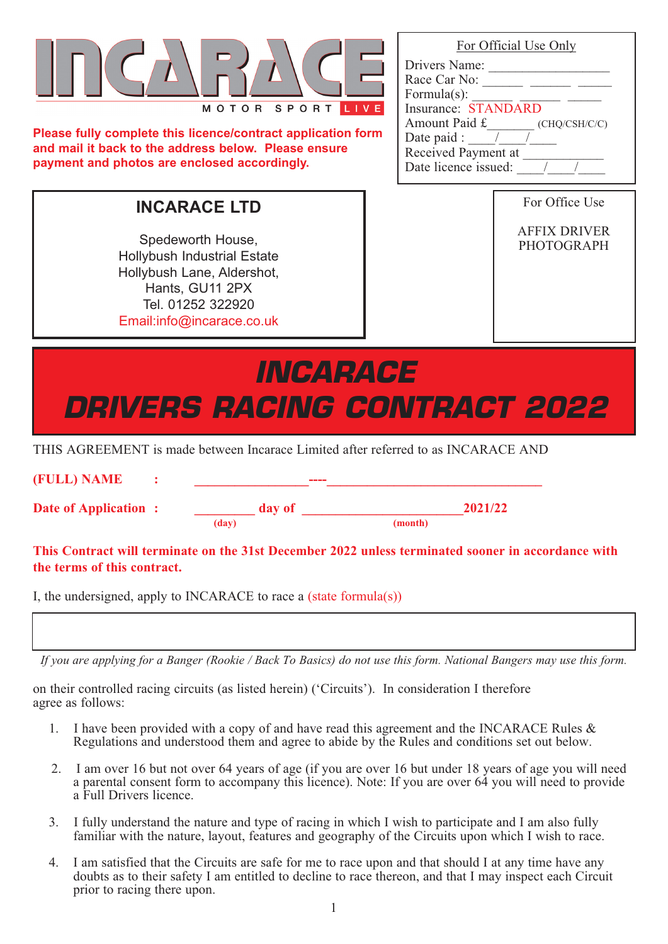| MOTOR SPORT |
|-------------|

**Please fully complete this licence/contract application form and mail it back to the address below. Please ensure payment and photos are enclosed accordingly.**

Spedeworth House, Hollybush Industrial Estate Hollybush Lane, Aldershot, Hants, GU11 2PX Tel. 01252 322920 Email:info@incarace.co.uk

| <i><b>INCARACE</b></i> |                                     |  |
|------------------------|-------------------------------------|--|
|                        | <i>DRIVERS RACING CONTRACT 2022</i> |  |

THIS AGREEMENT is made between Incarace Limited after referred to as INCARACE AND

| (FULL) NAME                 |        | ----    |         |
|-----------------------------|--------|---------|---------|
| <b>Date of Application:</b> | day of |         | 2021/22 |
|                             | (day)  | (month) |         |
|                             |        |         |         |

#### **This Contract will terminate on the 31st December 2022 unless terminated sooner in accordance with the terms of this contract.**

I, the undersigned, apply to INCARACE to race a (state formula(s))

*If you are applying for a Banger (Rookie / Back To Basics) do not use this form. National Bangers may use this form.*

on their controlled racing circuits (as listed herein) ('Circuits'). In consideration I therefore agree as follows:

- 1. I have been provided with a copy of and have read this agreement and the INCARACE Rules & Regulations and understood them and agree to abide by the Rules and conditions set out below.
- 2. I am over 16 but not over 64 years of age (if you are over 16 but under 18 years of age you will need a parental consent form to accompany this licence). Note: If you are over 64 you will need to provide a Full Drivers licence.
- 3. I fully understand the nature and type of racing in which I wish to participate and I am also fully familiar with the nature, layout, features and geography of the Circuits upon which I wish to race.
- 4. I am satisfied that the Circuits are safe for me to race upon and that should I at any time have any doubts as to their safety I am entitled to decline to race thereon, and that I may inspect each Circuit prior to racing there upon.

1

| For Official Use Only |  |
|-----------------------|--|
|                       |  |

| Drivers Name:             |               |
|---------------------------|---------------|
| Race Car No:              |               |
| Formula $(s)$ :           |               |
| Insurance: STANDARD       |               |
| Amount Paid £             | (CHQ/CSH/C/C) |
| Date paid :<br>$\sqrt{ }$ |               |
| Received Payment at       |               |
| Date licence issued:      |               |

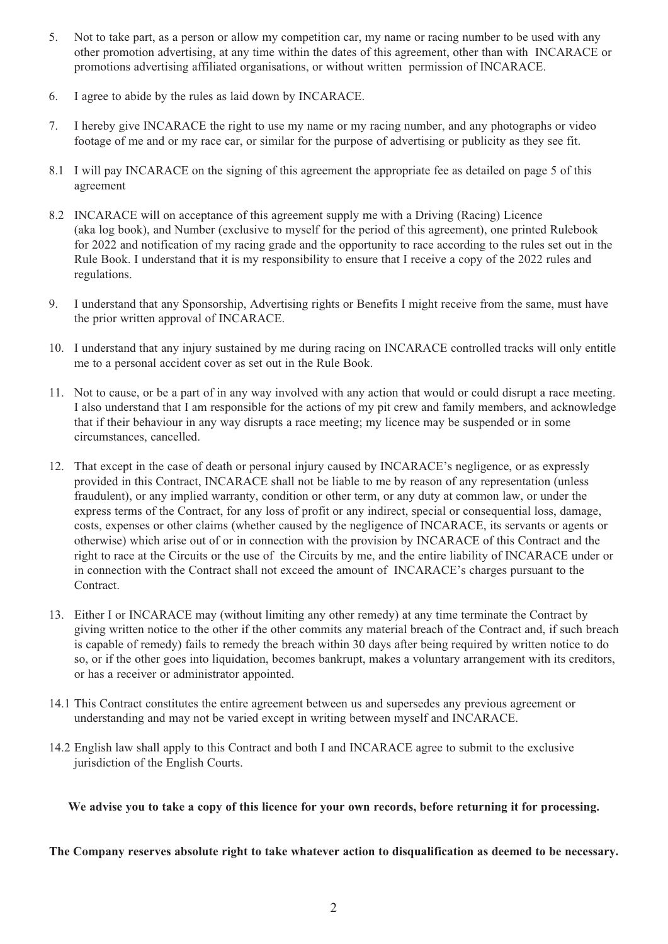- 5. Not to take part, as a person or allow my competition car, my name or racing number to be used with any other promotion advertising, at any time within the dates of this agreement, other than with INCARACE or promotions advertising affiliated organisations, or without written permission of INCARACE.
- 6. I agree to abide by the rules as laid down by INCARACE.
- 7. I hereby give INCARACE the right to use my name or my racing number, and any photographs or video footage of me and or my race car, or similar for the purpose of advertising or publicity as they see fit.
- 8.1 I will pay INCARACE on the signing of this agreement the appropriate fee as detailed on page 5 of this agreement
- 8.2 INCARACE will on acceptance of this agreement supply me with a Driving (Racing) Licence (aka log book), and Number (exclusive to myself for the period of this agreement), one printed Rulebook for 2022 and notification of my racing grade and the opportunity to race according to the rules set out in the Rule Book. I understand that it is my responsibility to ensure that I receive a copy of the 2022 rules and regulations.
- 9. I understand that any Sponsorship, Advertising rights or Benefits I might receive from the same, must have the prior written approval of INCARACE.
- 10. I understand that any injury sustained by me during racing on INCARACE controlled tracks will only entitle me to a personal accident cover as set out in the Rule Book.
- 11. Not to cause, or be a part of in any way involved with any action that would or could disrupt a race meeting. I also understand that I am responsible for the actions of my pit crew and family members, and acknowledge that if their behaviour in any way disrupts a race meeting; my licence may be suspended or in some circumstances, cancelled.
- 12. That except in the case of death or personal injury caused by INCARACE's negligence, or as expressly provided in this Contract, INCARACE shall not be liable to me by reason of any representation (unless fraudulent), or any implied warranty, condition or other term, or any duty at common law, or under the express terms of the Contract, for any loss of profit or any indirect, special or consequential loss, damage, costs, expenses or other claims (whether caused by the negligence of INCARACE, its servants or agents or otherwise) which arise out of or in connection with the provision by INCARACE of this Contract and the right to race at the Circuits or the use of the Circuits by me, and the entire liability of INCARACE under or in connection with the Contract shall not exceed the amount of INCARACE's charges pursuant to the Contract.
- 13. Either I or INCARACE may (without limiting any other remedy) at any time terminate the Contract by giving written notice to the other if the other commits any material breach of the Contract and, if such breach is capable of remedy) fails to remedy the breach within 30 days after being required by written notice to do so, or if the other goes into liquidation, becomes bankrupt, makes a voluntary arrangement with its creditors, or has a receiver or administrator appointed.
- 14.1 This Contract constitutes the entire agreement between us and supersedes any previous agreement or understanding and may not be varied except in writing between myself and INCARACE.
- 14.2 English law shall apply to this Contract and both I and INCARACE agree to submit to the exclusive jurisdiction of the English Courts.

**We advise you to take a copy of this licence for your own records, before returning it for processing.**

**The Company reserves absolute right to take whatever action to disqualification as deemed to be necessary.**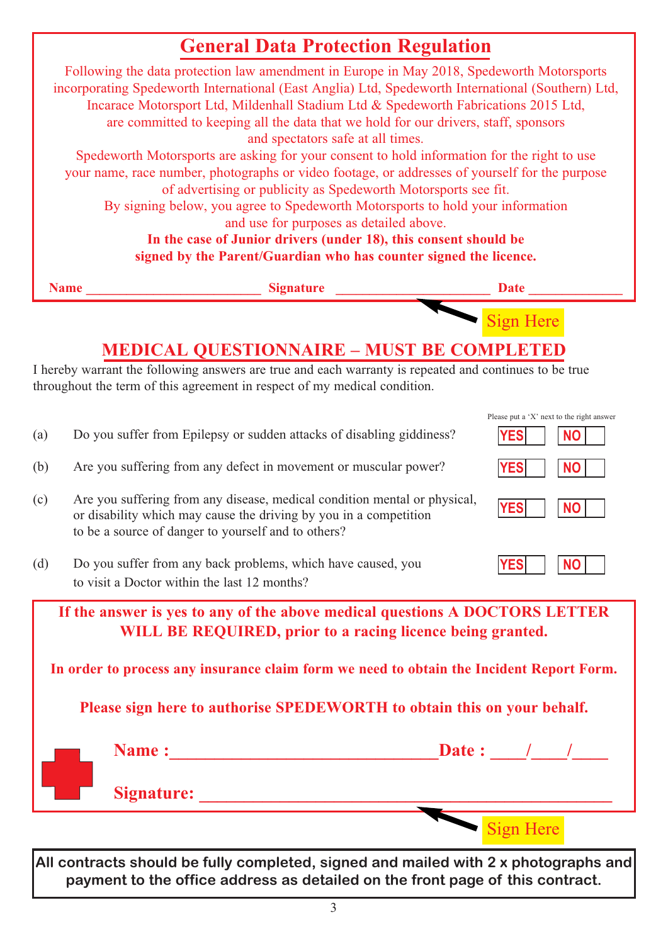### **General Data Protection Regulation**



|                        | Name:             | Date: |
|------------------------|-------------------|-------|
| <b>All Development</b> | <b>Signature:</b> |       |
|                        |                   |       |

**All contracts should be fully completed, signed and mailed with 2 x photographs and payment to the office address as detailed on the front page of this contract.**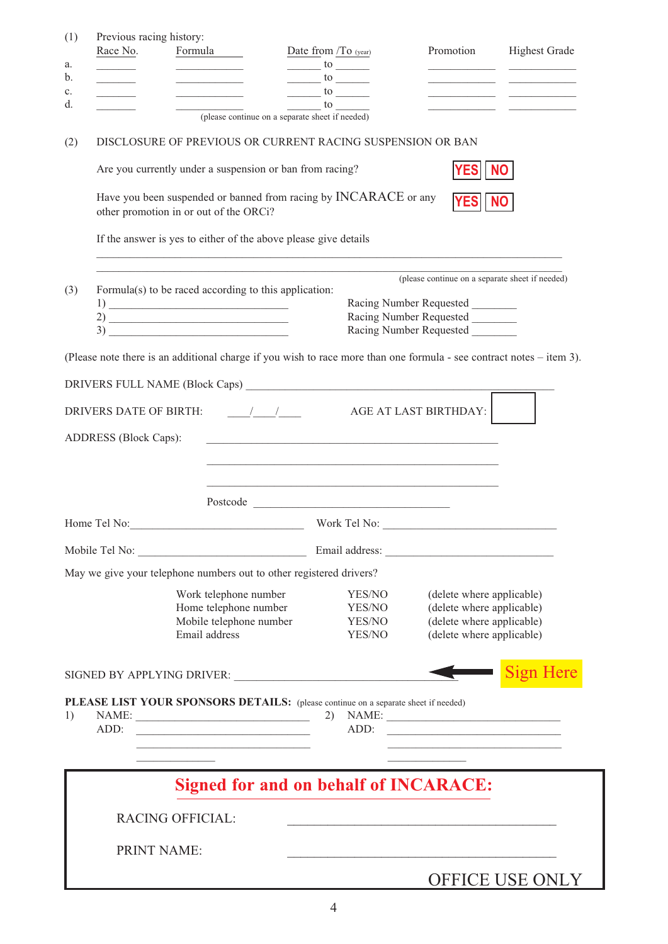| (1)                  | Previous racing history:                          |                                                                                                                                                                                                                                                                                                                     |                                                                                                                                                                                                                                                                                                                                                                             |                                                                                                                                                                                                                                |                                                                            |
|----------------------|---------------------------------------------------|---------------------------------------------------------------------------------------------------------------------------------------------------------------------------------------------------------------------------------------------------------------------------------------------------------------------|-----------------------------------------------------------------------------------------------------------------------------------------------------------------------------------------------------------------------------------------------------------------------------------------------------------------------------------------------------------------------------|--------------------------------------------------------------------------------------------------------------------------------------------------------------------------------------------------------------------------------|----------------------------------------------------------------------------|
| a.                   | Race No.                                          | Formula<br><b>Contract Contract Contract</b>                                                                                                                                                                                                                                                                        | Date from /To (year)<br>$\frac{1}{10}$ to $\frac{1}{10}$                                                                                                                                                                                                                                                                                                                    | Promotion                                                                                                                                                                                                                      | <b>Highest Grade</b>                                                       |
| b.                   |                                                   | the control of the control of the                                                                                                                                                                                                                                                                                   | $\frac{1}{10}$ to $\frac{1}{10}$                                                                                                                                                                                                                                                                                                                                            |                                                                                                                                                                                                                                |                                                                            |
| $\mathbf{c}$ .<br>d. | $\mathcal{L}$ and $\mathcal{L}$ and $\mathcal{L}$ | the control of the control of the                                                                                                                                                                                                                                                                                   | $\frac{\text{to}}{\text{to}}$<br>to to the set of the set of the set of the set of the set of the set of the set of the set of the set of the set of the set of the set of the set of the set of the set of the set of the set of the set of the set of the set                                                                                                             |                                                                                                                                                                                                                                | the control of the control of the control of the control of the control of |
|                      |                                                   | (please continue on a separate sheet if needed)                                                                                                                                                                                                                                                                     |                                                                                                                                                                                                                                                                                                                                                                             |                                                                                                                                                                                                                                |                                                                            |
| (2)                  |                                                   | DISCLOSURE OF PREVIOUS OR CURRENT RACING SUSPENSION OR BAN                                                                                                                                                                                                                                                          |                                                                                                                                                                                                                                                                                                                                                                             |                                                                                                                                                                                                                                |                                                                            |
|                      |                                                   | Are you currently under a suspension or ban from racing?                                                                                                                                                                                                                                                            |                                                                                                                                                                                                                                                                                                                                                                             | YES                                                                                                                                                                                                                            | <b>NO</b>                                                                  |
|                      |                                                   | Have you been suspended or banned from racing by INCARACE or any<br>other promotion in or out of the ORCi?                                                                                                                                                                                                          |                                                                                                                                                                                                                                                                                                                                                                             | <b>YES</b>                                                                                                                                                                                                                     |                                                                            |
|                      |                                                   | If the answer is yes to either of the above please give details                                                                                                                                                                                                                                                     |                                                                                                                                                                                                                                                                                                                                                                             |                                                                                                                                                                                                                                |                                                                            |
|                      |                                                   |                                                                                                                                                                                                                                                                                                                     |                                                                                                                                                                                                                                                                                                                                                                             | (please continue on a separate sheet if needed)                                                                                                                                                                                |                                                                            |
| (3)                  |                                                   | Formula(s) to be raced according to this application:                                                                                                                                                                                                                                                               |                                                                                                                                                                                                                                                                                                                                                                             |                                                                                                                                                                                                                                |                                                                            |
|                      |                                                   | $\frac{1}{2}$ $\frac{1}{2}$ $\frac{1}{2}$ $\frac{1}{2}$ $\frac{1}{2}$ $\frac{1}{2}$ $\frac{1}{2}$ $\frac{1}{2}$ $\frac{1}{2}$ $\frac{1}{2}$ $\frac{1}{2}$ $\frac{1}{2}$ $\frac{1}{2}$ $\frac{1}{2}$ $\frac{1}{2}$ $\frac{1}{2}$ $\frac{1}{2}$ $\frac{1}{2}$ $\frac{1}{2}$ $\frac{1}{2}$ $\frac{1}{2}$ $\frac{1}{2}$ |                                                                                                                                                                                                                                                                                                                                                                             | Racing Number Requested<br>Racing Number Requested                                                                                                                                                                             |                                                                            |
|                      |                                                   |                                                                                                                                                                                                                                                                                                                     |                                                                                                                                                                                                                                                                                                                                                                             | Racing Number Requested                                                                                                                                                                                                        |                                                                            |
|                      |                                                   | (Please note there is an additional charge if you wish to race more than one formula - see contract notes – item 3).                                                                                                                                                                                                |                                                                                                                                                                                                                                                                                                                                                                             |                                                                                                                                                                                                                                |                                                                            |
|                      |                                                   |                                                                                                                                                                                                                                                                                                                     |                                                                                                                                                                                                                                                                                                                                                                             |                                                                                                                                                                                                                                |                                                                            |
|                      |                                                   |                                                                                                                                                                                                                                                                                                                     |                                                                                                                                                                                                                                                                                                                                                                             |                                                                                                                                                                                                                                |                                                                            |
|                      | <b>DRIVERS DATE OF BIRTH:</b>                     |                                                                                                                                                                                                                                                                                                                     | $\overline{A}$ / $\overline{A}$ / $\overline{A}$ $\overline{A}$ $\overline{A}$ $\overline{A}$ $\overline{A}$ $\overline{A}$ $\overline{A}$ $\overline{A}$ $\overline{A}$ $\overline{A}$ $\overline{A}$ $\overline{A}$ $\overline{A}$ $\overline{A}$ $\overline{A}$ $\overline{A}$ $\overline{A}$ $\overline{A}$ $\overline{A}$ $\overline{A}$ $\overline{A}$ $\overline{A}$ |                                                                                                                                                                                                                                |                                                                            |
|                      |                                                   |                                                                                                                                                                                                                                                                                                                     |                                                                                                                                                                                                                                                                                                                                                                             |                                                                                                                                                                                                                                |                                                                            |
|                      | <b>ADDRESS</b> (Block Caps):                      |                                                                                                                                                                                                                                                                                                                     | and the control of the control of the control of the control of the control of the control of the control of the                                                                                                                                                                                                                                                            |                                                                                                                                                                                                                                |                                                                            |
|                      |                                                   |                                                                                                                                                                                                                                                                                                                     |                                                                                                                                                                                                                                                                                                                                                                             |                                                                                                                                                                                                                                |                                                                            |
|                      |                                                   |                                                                                                                                                                                                                                                                                                                     |                                                                                                                                                                                                                                                                                                                                                                             |                                                                                                                                                                                                                                |                                                                            |
|                      |                                                   |                                                                                                                                                                                                                                                                                                                     |                                                                                                                                                                                                                                                                                                                                                                             |                                                                                                                                                                                                                                |                                                                            |
|                      |                                                   | Home Tel No: Work Tel No:                                                                                                                                                                                                                                                                                           |                                                                                                                                                                                                                                                                                                                                                                             |                                                                                                                                                                                                                                |                                                                            |
|                      |                                                   |                                                                                                                                                                                                                                                                                                                     |                                                                                                                                                                                                                                                                                                                                                                             | Email address: No and the set of the set of the set of the set of the set of the set of the set of the set of the set of the set of the set of the set of the set of the set of the set of the set of the set of the set of th |                                                                            |
|                      |                                                   | May we give your telephone numbers out to other registered drivers?                                                                                                                                                                                                                                                 |                                                                                                                                                                                                                                                                                                                                                                             |                                                                                                                                                                                                                                |                                                                            |
|                      |                                                   | Work telephone number                                                                                                                                                                                                                                                                                               | YES/NO                                                                                                                                                                                                                                                                                                                                                                      | (delete where applicable)                                                                                                                                                                                                      |                                                                            |
|                      |                                                   | Home telephone number<br>Mobile telephone number                                                                                                                                                                                                                                                                    | YES/NO<br>YES/NO                                                                                                                                                                                                                                                                                                                                                            | (delete where applicable)<br>(delete where applicable)                                                                                                                                                                         |                                                                            |
|                      |                                                   | Email address                                                                                                                                                                                                                                                                                                       | YES/NO                                                                                                                                                                                                                                                                                                                                                                      | (delete where applicable)                                                                                                                                                                                                      |                                                                            |
|                      |                                                   |                                                                                                                                                                                                                                                                                                                     |                                                                                                                                                                                                                                                                                                                                                                             |                                                                                                                                                                                                                                |                                                                            |
|                      |                                                   |                                                                                                                                                                                                                                                                                                                     |                                                                                                                                                                                                                                                                                                                                                                             |                                                                                                                                                                                                                                | <b>Sign Here</b>                                                           |
|                      |                                                   | PLEASE LIST YOUR SPONSORS DETAILS: (please continue on a separate sheet if needed)                                                                                                                                                                                                                                  |                                                                                                                                                                                                                                                                                                                                                                             |                                                                                                                                                                                                                                |                                                                            |
| 1)                   |                                                   |                                                                                                                                                                                                                                                                                                                     |                                                                                                                                                                                                                                                                                                                                                                             | $2)$ NAME:                                                                                                                                                                                                                     |                                                                            |
|                      | ADD:                                              | the control of the control of the control of the control of the control of the control of                                                                                                                                                                                                                           | ADD:                                                                                                                                                                                                                                                                                                                                                                        |                                                                                                                                                                                                                                |                                                                            |
|                      |                                                   |                                                                                                                                                                                                                                                                                                                     |                                                                                                                                                                                                                                                                                                                                                                             |                                                                                                                                                                                                                                |                                                                            |
|                      |                                                   |                                                                                                                                                                                                                                                                                                                     | <b>Signed for and on behalf of INCARACE:</b>                                                                                                                                                                                                                                                                                                                                |                                                                                                                                                                                                                                |                                                                            |
|                      |                                                   |                                                                                                                                                                                                                                                                                                                     |                                                                                                                                                                                                                                                                                                                                                                             |                                                                                                                                                                                                                                |                                                                            |
|                      |                                                   | <b>RACING OFFICIAL:</b>                                                                                                                                                                                                                                                                                             |                                                                                                                                                                                                                                                                                                                                                                             |                                                                                                                                                                                                                                |                                                                            |
|                      |                                                   | <b>PRINT NAME:</b>                                                                                                                                                                                                                                                                                                  |                                                                                                                                                                                                                                                                                                                                                                             |                                                                                                                                                                                                                                |                                                                            |
|                      |                                                   |                                                                                                                                                                                                                                                                                                                     |                                                                                                                                                                                                                                                                                                                                                                             |                                                                                                                                                                                                                                | <b>OFFICE USE ONLY</b>                                                     |
|                      |                                                   |                                                                                                                                                                                                                                                                                                                     |                                                                                                                                                                                                                                                                                                                                                                             |                                                                                                                                                                                                                                |                                                                            |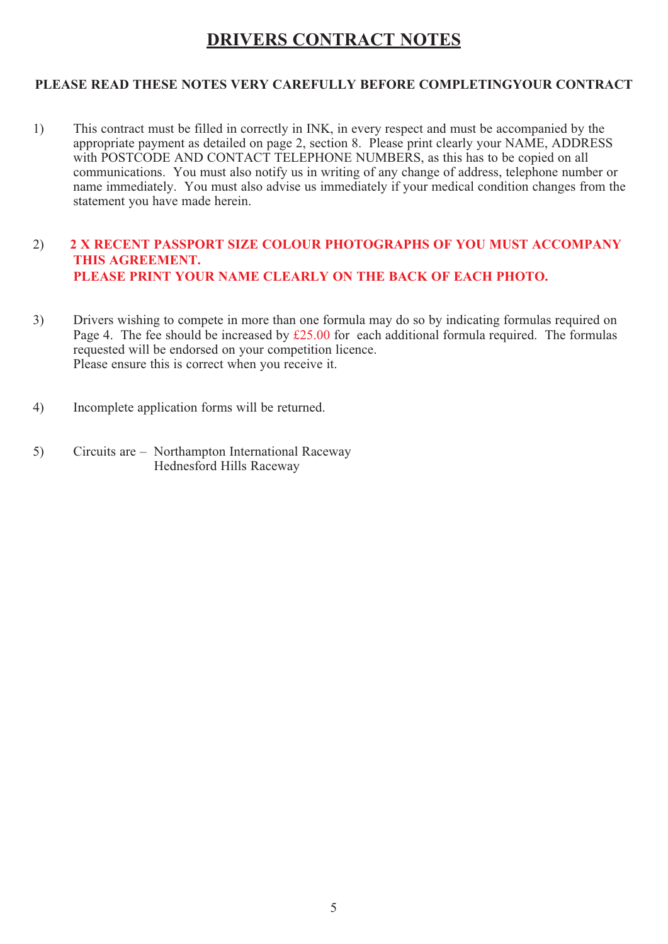### **DRIVERS CONTRACT NOTES**

#### **PLEASE READ THESE NOTES VERY CAREFULLY BEFORE COMPLETINGYOUR CONTRACT**

1) This contract must be filled in correctly in INK, in every respect and must be accompanied by the appropriate payment as detailed on page 2, section 8. Please print clearly your NAME, ADDRESS with POSTCODE AND CONTACT TELEPHONE NUMBERS, as this has to be copied on all communications. You must also notify us in writing of any change of address, telephone number or name immediately. You must also advise us immediately if your medical condition changes from the statement you have made herein.

#### 2) **2 X RECENT PASSPORT SIZE COLOUR PHOTOGRAPHS OF YOU MUST ACCOMPANY THIS AGREEMENT. PLEASE PRINT YOUR NAME CLEARLY ON THE BACK OF EACH PHOTO.**

- 3) Drivers wishing to compete in more than one formula may do so by indicating formulas required on Page 4. The fee should be increased by  $£25.00$  for each additional formula required. The formulas requested will be endorsed on your competition licence. Please ensure this is correct when you receive it.
- 4) Incomplete application forms will be returned.
- 5) Circuits are Northampton International Raceway Hednesford Hills Raceway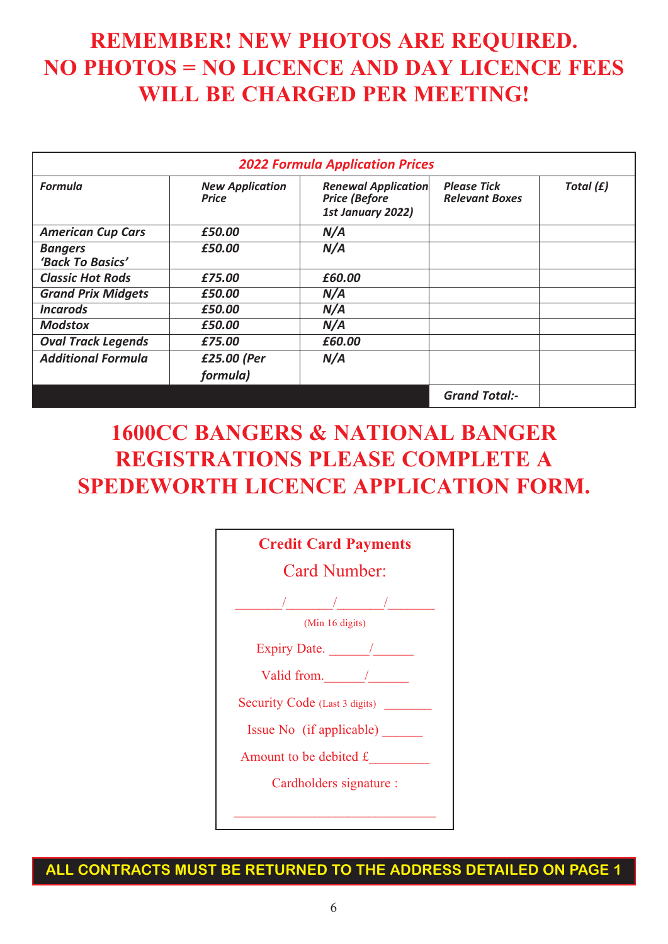## **REMEMBER! NEW PHOTOS ARE REQUIRED. NO PHOTOS = NO LICENCE AND DAY LICENCE FEES WILL BE CHARGED PER MEETING!**

| <b>2022 Formula Application Prices</b> |                                        |                                                                         |                                             |           |
|----------------------------------------|----------------------------------------|-------------------------------------------------------------------------|---------------------------------------------|-----------|
| <b>Formula</b>                         | <b>New Application</b><br><b>Price</b> | <b>Renewal Application</b><br><b>Price (Before</b><br>1st January 2022) | <b>Please Tick</b><br><b>Relevant Boxes</b> | Total (£) |
| <b>American Cup Cars</b>               | £50.00                                 | N/A                                                                     |                                             |           |
| <b>Bangers</b><br>'Back To Basics'     | £50.00                                 | N/A                                                                     |                                             |           |
| <b>Classic Hot Rods</b>                | £75.00                                 | £60.00                                                                  |                                             |           |
| <b>Grand Prix Midgets</b>              | £50.00                                 | N/A                                                                     |                                             |           |
| <b>Incarods</b>                        | £50.00                                 | N/A                                                                     |                                             |           |
| <b>Modstox</b>                         | £50.00                                 | N/A                                                                     |                                             |           |
| <b>Oval Track Legends</b>              | £75.00                                 | £60.00                                                                  |                                             |           |
| <b>Additional Formula</b>              | £25.00 (Per                            | N/A                                                                     |                                             |           |
|                                        | formula)                               |                                                                         |                                             |           |
|                                        |                                        |                                                                         | <b>Grand Total:-</b>                        |           |

## **1600CC BANGERS & NATIONAL BANGER REGISTRATIONS PLEASE COMPLETE A SPEDEWORTH LICENCE APPLICATION FORM.**



**ALL CONTRACTS MUST BE RETURNED TO THE ADDRESS DETAILED ON PAGE 1**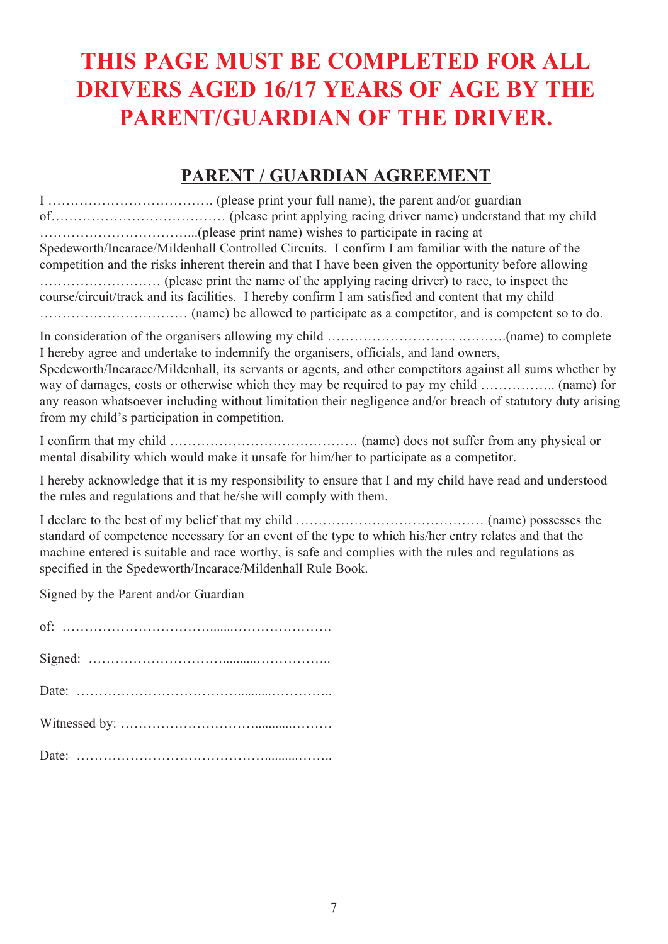# **THIS PAGE MUST BE COMPLETED FOR ALL DRIVERS AGED 16/17 YEARS OF AGE BY THE PARENT/GUARDIAN OF THE DRIVER.**

### **PARENT / GUARDIAN AGREEMENT**

| Spedeworth/Incarace/Mildenhall Controlled Circuits. I confirm I am familiar with the nature of the<br>competition and the risks inherent therein and that I have been given the opportunity before allowing                                                                                                                                                        |
|--------------------------------------------------------------------------------------------------------------------------------------------------------------------------------------------------------------------------------------------------------------------------------------------------------------------------------------------------------------------|
| course/circuit/track and its facilities. I hereby confirm I am satisfied and content that my child                                                                                                                                                                                                                                                                 |
| I hereby agree and undertake to indemnify the organisers, officials, and land owners,<br>Spedeworth/Incarace/Mildenhall, its servants or agents, and other competitors against all sums whether by<br>any reason whatsoever including without limitation their negligence and/or breach of statutory duty arising<br>from my child's participation in competition. |
| mental disability which would make it unsafe for him/her to participate as a competitor.                                                                                                                                                                                                                                                                           |
| I hereby acknowledge that it is my responsibility to ensure that I and my child have read and understood<br>the rules and regulations and that he/she will comply with them.                                                                                                                                                                                       |
| standard of competence necessary for an event of the type to which his/her entry relates and that the<br>machine entered is suitable and race worthy, is safe and complies with the rules and regulations as<br>specified in the Spedeworth/Incarace/Mildenhall Rule Book.                                                                                         |
| Signed by the Parent and/or Guardian                                                                                                                                                                                                                                                                                                                               |
|                                                                                                                                                                                                                                                                                                                                                                    |
|                                                                                                                                                                                                                                                                                                                                                                    |
|                                                                                                                                                                                                                                                                                                                                                                    |
|                                                                                                                                                                                                                                                                                                                                                                    |
|                                                                                                                                                                                                                                                                                                                                                                    |